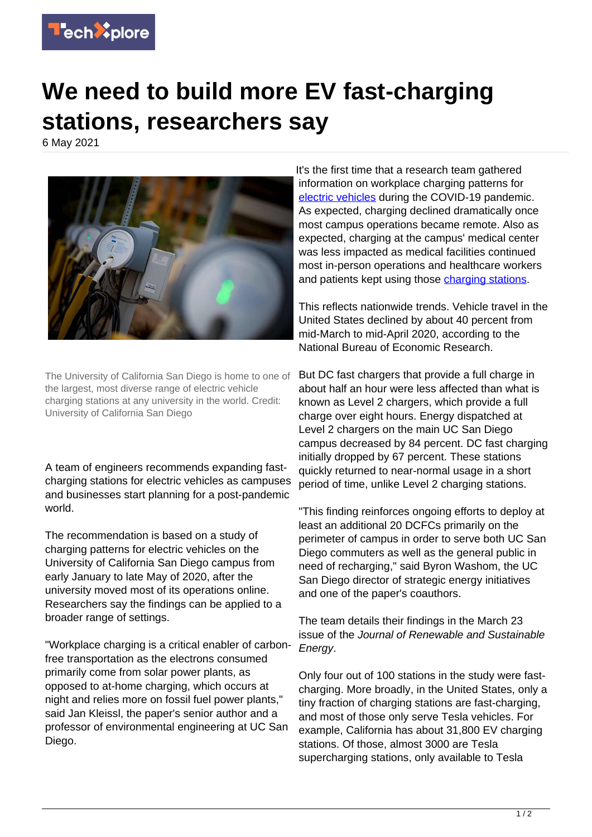

## **We need to build more EV fast-charging stations, researchers say**

6 May 2021



The University of California San Diego is home to one of the largest, most diverse range of electric vehicle charging stations at any university in the world. Credit: University of California San Diego

A team of engineers recommends expanding fastcharging stations for electric vehicles as campuses and businesses start planning for a post-pandemic world.

The recommendation is based on a study of charging patterns for electric vehicles on the University of California San Diego campus from early January to late May of 2020, after the university moved most of its operations online. Researchers say the findings can be applied to a broader range of settings.

"Workplace charging is a critical enabler of carbonfree transportation as the electrons consumed primarily come from solar power plants, as opposed to at-home charging, which occurs at night and relies more on fossil fuel power plants," said Jan Kleissl, the paper's senior author and a professor of environmental engineering at UC San Diego.

It's the first time that a research team gathered information on workplace charging patterns for [electric vehicles](https://techxplore.com/tags/electric+vehicles/) during the COVID-19 pandemic. As expected, charging declined dramatically once most campus operations became remote. Also as expected, charging at the campus' medical center was less impacted as medical facilities continued most in-person operations and healthcare workers and patients kept using those [charging stations.](https://techxplore.com/tags/charging+stations/)

This reflects nationwide trends. Vehicle travel in the United States declined by about 40 percent from mid-March to mid-April 2020, according to the National Bureau of Economic Research.

But DC fast chargers that provide a full charge in about half an hour were less affected than what is known as Level 2 chargers, which provide a full charge over eight hours. Energy dispatched at Level 2 chargers on the main UC San Diego campus decreased by 84 percent. DC fast charging initially dropped by 67 percent. These stations quickly returned to near-normal usage in a short period of time, unlike Level 2 charging stations.

"This finding reinforces ongoing efforts to deploy at least an additional 20 DCFCs primarily on the perimeter of campus in order to serve both UC San Diego commuters as well as the general public in need of recharging," said Byron Washom, the UC San Diego director of strategic energy initiatives and one of the paper's coauthors.

The team details their findings in the March 23 issue of the Journal of Renewable and Sustainable Energy.

Only four out of 100 stations in the study were fastcharging. More broadly, in the United States, only a tiny fraction of charging stations are fast-charging. and most of those only serve Tesla vehicles. For example, California has about 31,800 EV charging stations. Of those, almost 3000 are Tesla supercharging stations, only available to Tesla